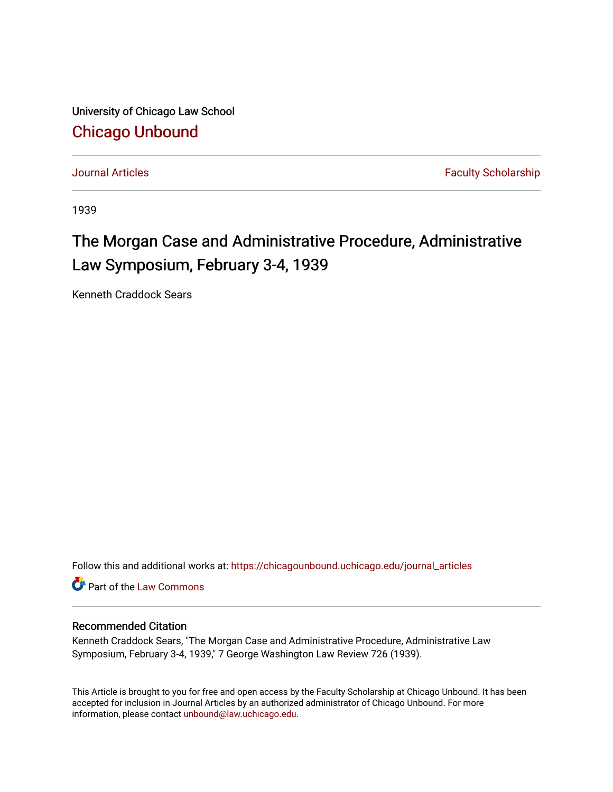University of Chicago Law School [Chicago Unbound](https://chicagounbound.uchicago.edu/)

[Journal Articles](https://chicagounbound.uchicago.edu/journal_articles) **Faculty Scholarship Journal Articles** 

1939

## The Morgan Case and Administrative Procedure, Administrative Law Symposium, February 3-4, 1939

Kenneth Craddock Sears

Follow this and additional works at: [https://chicagounbound.uchicago.edu/journal\\_articles](https://chicagounbound.uchicago.edu/journal_articles?utm_source=chicagounbound.uchicago.edu%2Fjournal_articles%2F9499&utm_medium=PDF&utm_campaign=PDFCoverPages) 

Part of the [Law Commons](http://network.bepress.com/hgg/discipline/578?utm_source=chicagounbound.uchicago.edu%2Fjournal_articles%2F9499&utm_medium=PDF&utm_campaign=PDFCoverPages)

## Recommended Citation

Kenneth Craddock Sears, "The Morgan Case and Administrative Procedure, Administrative Law Symposium, February 3-4, 1939," 7 George Washington Law Review 726 (1939).

This Article is brought to you for free and open access by the Faculty Scholarship at Chicago Unbound. It has been accepted for inclusion in Journal Articles by an authorized administrator of Chicago Unbound. For more information, please contact [unbound@law.uchicago.edu](mailto:unbound@law.uchicago.edu).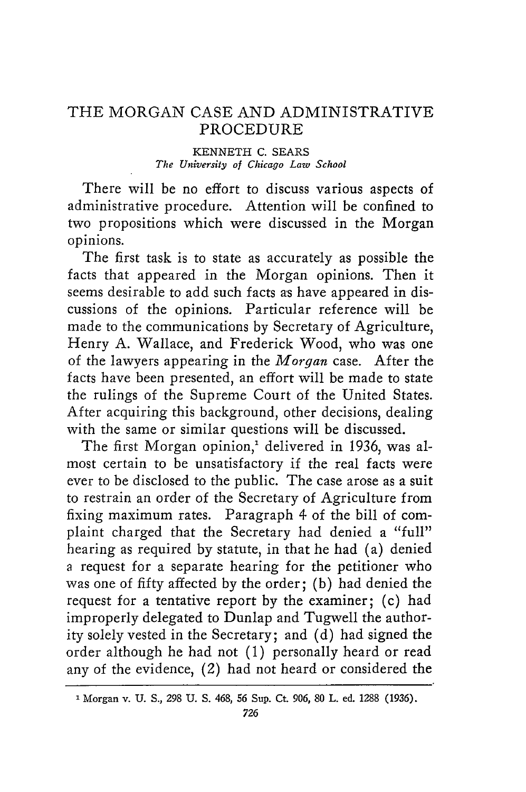## THE MORGAN CASE AND ADMINISTRATIVE PROCEDURE

## **KENNETH C. SEARS** *The University of Chicago Law School*

There will be no effort to discuss various aspects of administrative procedure. Attention will be confined to two propositions which were discussed in the Morgan opinions.

The first task is to state as accurately as possible the facts that appeared in the Morgan opinions. Then it seems desirable to add such facts as have appeared in discussions of the opinions. Particular reference will be made to the communications by Secretary of Agriculture, Henry A. Wallace, and Frederick Wood, who was one of the lawyers appearing in the *Morgan* case. After the facts have been presented, an effort will be made to state the rulings of the Supreme Court of the United States. After acquiring this background, other decisions, dealing with the same or similar questions will be discussed.

The first Morgan opinion,<sup>1</sup> delivered in 1936, was almost certain to be unsatisfactory if the real facts were ever to be disclosed to the public. The case arose as a suit to restrain an order of the Secretary of Agriculture from fixing maximum rates. Paragraph 4 of the bill of complaint charged that the Secretary had denied a "full" hearing as required by statute, in that he had (a) denied a request for a separate hearing for the petitioner who was one of fifty affected by the order; (b) had denied the request for a tentative report by the examiner; (c) had improperly delegated to Dunlap and Tugwell the authority solely vested in the Secretary; and (d) had signed the order although he had not (1) personally heard or read any of the evidence, (2) had not heard or considered the

Morgan **v. U. S., 298 U. S.** 468, **56** Sup. Ct. **906, 80** L. ed. **1288 (1936).**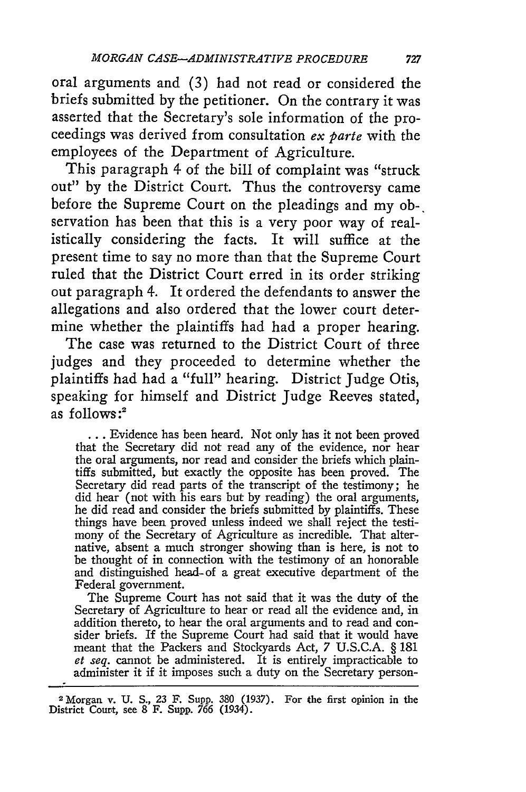oral arguments and (3) had not read or considered the briefs submitted by the petitioner. On the contrary it was asserted that the Secretary's sole information of the proceedings was derived from consultation  $ex$  parte with the employees of the Department of Agriculture.

This paragraph 4 of the bill of complaint was "struck out" by the District Court. Thus the controversy came before the Supreme Court on the pleadings and my ob-. servation has been that this is a very poor way of realistically considering the facts. It will suffice at the present time to say no more than that the Supreme Court ruled that the District Court erred in its order striking out paragraph 4. It ordered the defendants to answer the allegations and also ordered that the lower court determine whether the plaintiffs had had a proper hearing.

The case was returned to the District Court of three judges and they proceeded to determine whether the plaintiffs had had a "full" hearing. District Judge Otis, speaking for himself and District Judge Reeves stated, as follows:<sup>2</sup>

**...** Evidence has been heard. Not only has it not been proved that the Secretary did not read any of the evidence, nor hear the oral arguments, nor read and consider the briefs which plaintiffs submitted, but exactly the opposite has been proved. The Secretary did read parts of the transcript of the testimony; he did hear (not with his ears but by reading) the oral arguments, he did read and consider the briefs submitted by plaintiffs. These things have been proved unless indeed we shall reject the testimony of the Secretary of Agriculture as incredible. That alternative, absent a much stronger showing than is here, is not to be thought of in connection with the testimony of an honorable and distinguished head-of a great executive department of the Federal government.

The Supreme Court has not said that it was the duty of the Secretary of Agriculture to hear or read all the evidence and, in addition thereto, to hear the oral arguments and to read and consider briefs. If the Supreme Court had said that it would have meant that the Packers and Stockyards Act, 7 U.S.C.A. § 181 *et seq.* cannot be administered. It is entirely impracticable to administer it if it imposes such a duty on the Secretary person-

<sup>2</sup> Morgan v. **U. S.,** 23 F. Supp. **380** (1937). For the first opinion in the District Court, see **8** F. Supp. **766** (1934).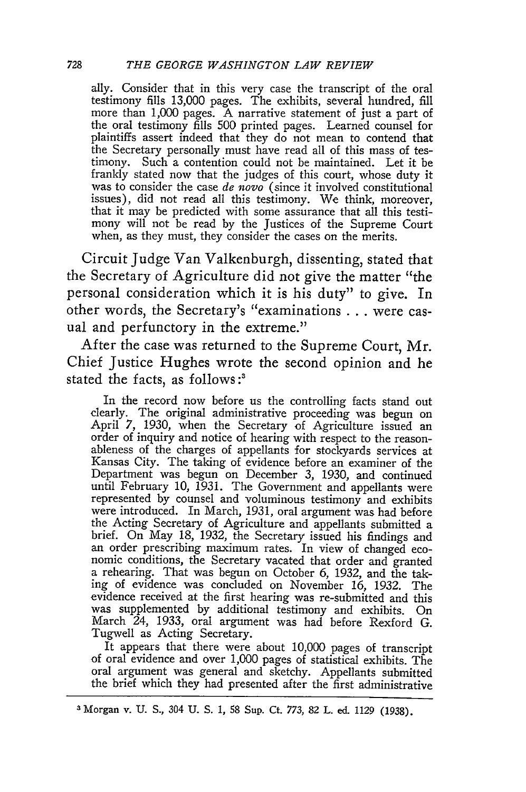ally. Consider that in this very case the transcript of the oral testimony fills 13,000 pages. The exhibits, several hundred, fill more than 1,000 pages. A narrative statement of just a part of the oral testimony fills 500 printed pages. Learned counsel for plaintiffs assert indeed that they do not mean to contend that the Secretary personally must have read all of this mass of testimony. Such a contention could not be maintained. Let it be frankly stated now that the judges of this court, whose duty it was to consider the case *de novo* (since it involved constitutional issues), did not read all this testimony. We think, moreover, that it may be predicted with some assurance that all this testimony will not be read by the Justices of the Supreme Court when, as they must, they consider the cases on the merits.

Circuit Judge Van Valkenburgh, dissenting, stated that the Secretary of Agriculture did not give the matter "the personal consideration which it is his duty" to give. In other words, the Secretary's "examinations **. .** . were casual and perfunctory in the extreme."

After the case was returned to the Supreme Court, Mr. Chief Justice Hughes wrote the second opinion and he stated the facts, as follows:'

In the record now before us the controlling facts stand out clearly. The original administrative proceeding was begun on April 7, 1930, when the Secretary of Agriculture issued an order of inquiry and notice of hearing with respect to the reason-<br>ableness of the charges of appellants for stockyards services at Kansas City. The taking of evidence before an examiner of the Department was begun on December 3, 1930, and continued until February 10, 1931. The Government and appellants were represented by counsel and voluminous testimony and exhibits represented by counsel and voluminous testimony and exhibits were introduced. In March, 1931, oral argument was had before the Acting Secretary of Agriculture and appellants submitted a brief. On May 18, 1932, the Secretary issued his findings and an order prescribing maximum rates. In view of changed economic conditions, the Secretary vacated that order and granted a rehearing. That was begun on October 6, 1932, and the taking of evidence was concluded on November 16, 1932. The evidence received at the first hearing was re-submitted and this was supplemented by additional testimony and exhibits. On March 24, 1933, oral argument was had before Rexford G. Tugwell as Acting Secretary.

It appears that there were about 10,000 pages of transcript of oral evidence and over 1,000 pages of statistical exhibits. The oral argument was general and sketchy. Appellants submitted the brief which they had presented after the first administrative

**<sup>3</sup>** Morgan v. U. *S.,* 304 U. S. 1, **58** Sup. Ct. *773,* 82 L. ed. 1129 (1938).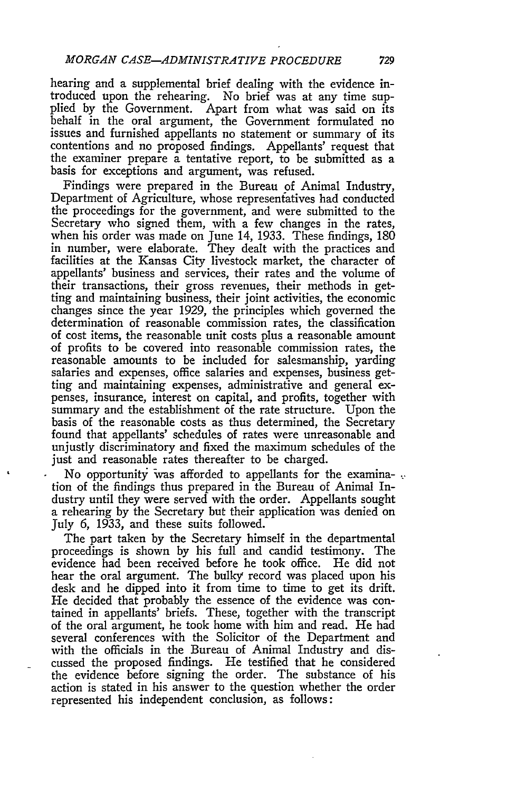hearing and a supplemental brief dealing with the evidence introduced upon the rehearing. No brief was at any time supplied by the Government. Apart from what was said on its behalf in the oral argument, the Government formulated no issues and furnished appellants no statement or summary of its contentions and no proposed findings. Appellants' request that the examiner prepare a tentative report, to be submitted as a basis for exceptions and argument, was refused.

Findings were prepared in the Bureau of Animal Industry, Department of Agriculture, whose representatives had conducted the proceedings for the government, and were submitted to the Secretary who signed them, with a few changes in the rates, when his order was made on June 14, 1933. These findings, 180 in number, were elaborate. They dealt with the practices and facilities at the Kansas City livestock market, the character of appellants' business and services, their rates and the volume of their transactions, their gross revenues, their methods in getting and maintaining business, their joint activities, the economic changes since the year *1929,* the principles which governed the determination of reasonable commission rates, the classification of cost items, the reasonable unit costs plus a reasonable amount of profits to be covered into reasonable commission rates, the reasonable amounts to be included for salesmanship, yarding salaries and expenses, office salaries and expenses, business getting and maintaining expenses, administrative and general expenses, insurance, interest on capital, and profits, together with summary and the establishment of the rate structure. Upon the basis of the reasonable costs as thus determined, the Secretary found that appellants' schedules of rates were unreasonable and unjustly discriminatory and fixed the maximum schedules of the just and reasonable rates thereafter to be charged.

No opportunity was afforded to appellants for the examination of the findings thus prepared in the Bureau of Animal Industry until they were served with the order. Appellants sought a rehearing by the Secretary but their application was denied on July 6, 1933, and these suits followed.

The part taken by the Secretary himself in the departmental proceedings is shown by his full and candid testimony. The evidence had been received before he took office. He did not hear the oral argument. The bulky record was placed upon his desk and he dipped into it from time to time to get its drift. He decided that probably the essence of the evidence was contained in appellants' briefs. These, together with the transcript of the oral argument, he took home with him and read. He had several conferences with the Solicitor of the Department and with the officials in the Bureau of Animal Industry and discussed the proposed findings. He testified that he considered the evidence before signing the order. The substance of his action is stated in his answer to the question whether the order represented his independent conclusion, as follows: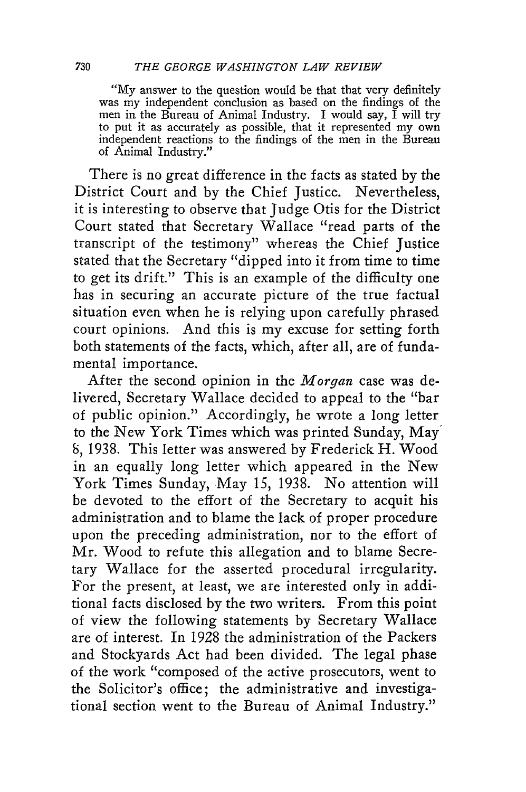"My answer to the question would be that that very definitely was my independent conclusion as based on the findings of the men in the Bureau of Animal Industry. I would say,  $\tilde{I}$  will try to put it as accurately as possible, that it represented my own independent reactions to the findings of the men in the Bureau of Animal Industry."

There is no great difference in the facts as stated by the District Court and by the Chief Justice. Nevertheless, it is interesting to observe that Judge Otis for the District Court stated that Secretary Wallace "read parts of the transcript of the testimony" whereas the Chief Justice stated that the Secretary "dipped into it from time to time to get its drift." This is an example of the difficulty one has in securing an accurate picture of the true factual situation even when he is relying upon carefully phrased court opinions. And this is my excuse for setting forth both statements of the facts, which, after all, are of fundamental importance.

After the second opinion in the *Morgan* case was delivered, Secretary Wallace decided to appeal to the "bar of public opinion." Accordingly, he wrote a long letter to the New York Times which was printed Sunday, May *8,* 1938. This letter was answered by Frederick H. Wood in an equally long letter which appeared in the New York Times Sunday, May 15, 1938. No attention will be devoted to the effort of the Secretary to acquit his administration and to blame the lack of proper procedure upon the preceding administration, nor to the effort of Mr. Wood to refute this allegation and to blame Secretary Wallace for the asserted procedural irregularity. For the present, at least, we are interested only in additional facts disclosed by the two writers. From this point of view the following statements by Secretary Wallace are of interest. In 1928 the administration of the Packers and Stockyards Act had been divided. The legal phase of the work "composed of the active prosecutors, went to the Solicitor's office; the administrative and investigational section went to the Bureau of Animal Industry."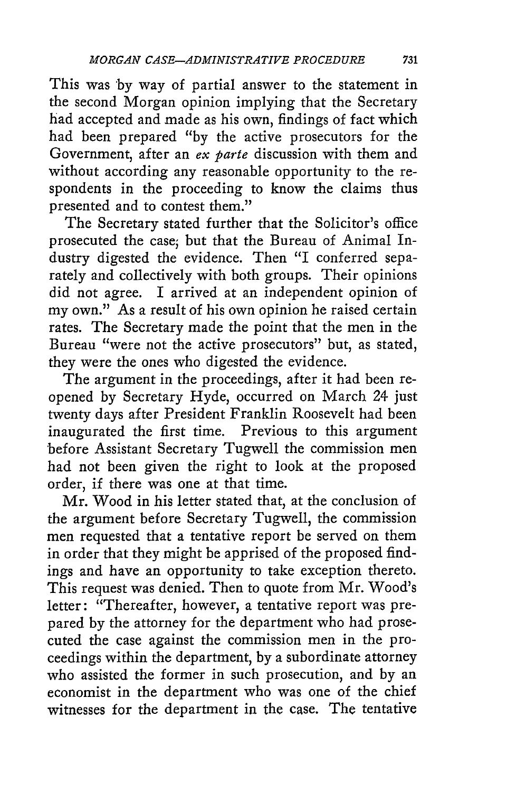This was **by** way of partial answer to the statement in the second Morgan opinion implying that the Secretary had accepted and made as his own, findings of fact which had been prepared **"by** the active prosecutors for the Government, after an ex **parte** discussion with them and without according any reasonable opportunity to the respondents in the proceeding to know the claims thus presented and to contest them."

The Secretary stated further that the Solicitor's office prosecuted the case; but that the Bureau of Animal Industry digested the evidence. Then "I conferred separately and collectively with both groups. Their opinions did not agree. I arrived at an independent opinion of my own." As a result of his own opinion he raised certain rates. The Secretary made the point that the men in the Bureau "were not the active prosecutors" but, as stated, they were the ones who digested the evidence.

The argument in the proceedings, after it had been reopened **by** Secretary Hyde, occurred on March 24 just twenty days after President Franklin Roosevelt had been inaugurated the first time. Previous to this argument before Assistant Secretary Tugwell the commission men **had** not been given the right to look at the proposed order, if there was one at that time.

Mr. Wood in his letter stated that, at the conclusion of the argument before Secretary Tugwell, the commission men requested that a tentative report be served on them in order that they might be apprised of the proposed findings and have an opportunity to take exception thereto. This request was denied. Then to quote from Mr. Wood's letter: "Thereafter, however, a tentative report was prepared **by** the attorney for the department who had prosecuted the case against the commission men in the proceedings within the department, **by** a subordinate attorney who assisted the former in such prosecution, and **by** an economist in the department who was one of the chief witnesses for the department in the case. The tentative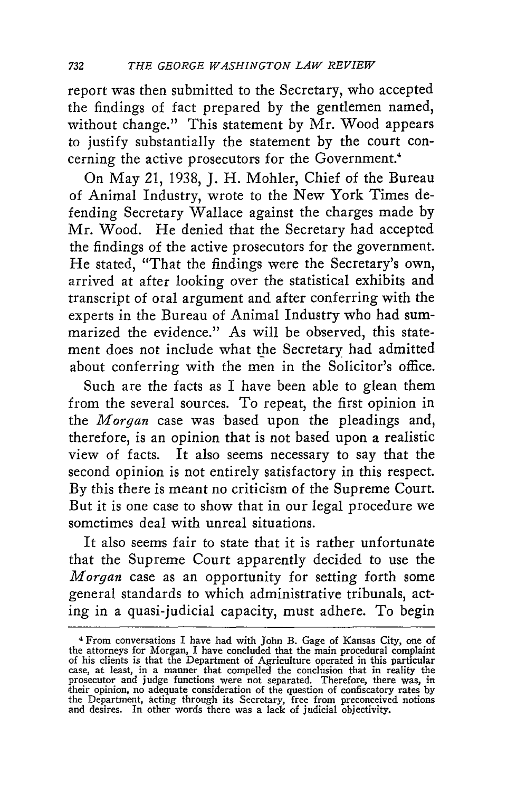report was then submitted to the Secretary, who accepted the findings of fact prepared by the gentlemen named, without change." This statement by Mr. Wood appears to justify substantially the statement by the court concerning the active prosecutors for the Government.<sup>4</sup>

On May 21, 1938, J. H. Mohler, Chief of the Bureau of Animal Industry, wrote to the New York Times defending Secretary Wallace against the charges made by Mr. Wood. He denied that the Secretary had accepted the findings of the active prosecutors for the government. He stated, "That the findings were the Secretary's own, arrived at after looking over the statistical exhibits and transcript of oral argument and after conferring with the experts in the Bureau of Animal Industry who had summarized the evidence." As will be observed, this statement does not include what the Secretary had admitted about conferring with the men in the Solicitor's office.

Such are the facts as I have been able to glean them from the several sources. To repeat, the first opinion in the *Morgan* case was based upon the pleadings and, therefore, is an opinion that is not based upon a realistic view of facts. It also seems necessary to say that the second opinion is not entirely satisfactory in this respect. By this there is meant no criticism of the Supreme Court. But it is one case to show that in our legal procedure we sometimes deal with unreal situations.

It also seems fair to state that it is rather unfortunate that the Supreme Court apparently decided to use the *Morgan* case as an opportunity for setting forth some general standards to which administrative tribunals, acting in a quasi-judicial capacity, must adhere. To begin

<sup>&</sup>lt;sup>4</sup> From conversations I have had with John B. Gage of Kansas City, one of the attorneys for Morgan, I have concluded that the main procedural complaint of his clients is that the Department of Agriculture operated in this particular<br>case, at least, in a manner that compelled the conclusion that in reality the<br>prosecutor and judge functions were not separated. Therefore, t and desires. In other words there was a lack of judicial objectivity.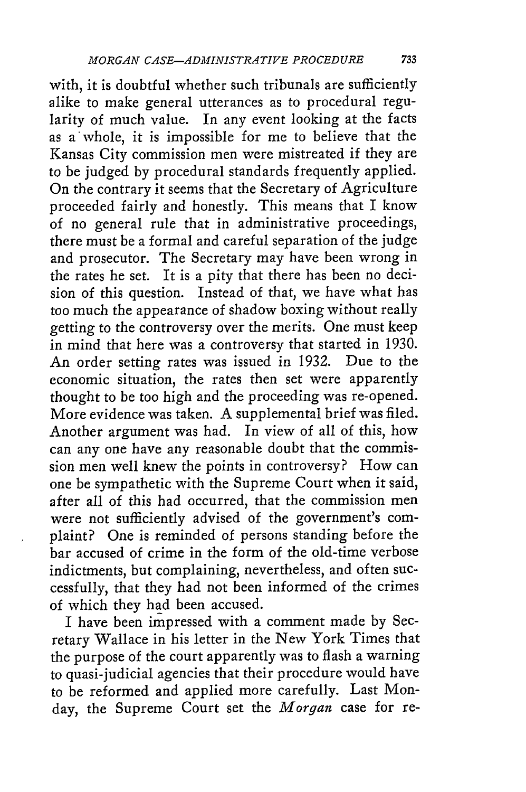with, it is doubtful whether such tribunals are sufficiently alike to make general utterances as to procedural regularity of much value. In any event looking at the facts as a whole, it is impossible for me to believe that the Kansas City commission men were mistreated if they are to be judged by procedural standards frequently applied. On the contrary it seems that the Secretary of Agriculture proceeded fairly and honestly. This means that I know of no general rule that in administrative proceedings, there must be a formal and careful separation of the judge and prosecutor. The Secretary may have been wrong in the rates he set. It is a pity that there has been no decision of this question. Instead of that, we have what has too much the appearance of shadow boxing without really getting to the controversy over the merits. One must keep in mind that here was a controversy that started in 1930. An order setting rates was issued in 1932. Due to the economic situation, the rates then set were apparently thought to be too high and the proceeding was re-opened. More evidence was taken. A supplemental brief was filed. Another argument was had. In view of all of this, how can any one have any reasonable doubt that the commission men well knew the points in controversy? How can one be sympathetic with the Supreme Court when it said, after all of this had occurred, that the commission men were not sufficiently advised of the government's complaint? One is reminded of persons standing before the bar accused of crime in the form of the old-time verbose indictments, but complaining, nevertheless, and often successfully, that they had not been informed of the crimes of which they had been accused.

I have been impressed with a comment made by Secretary Wallace in his letter in the New York Times that the purpose of the court apparently was to flash a warning to quasi-judicial agencies that their procedure would have to be reformed and applied more carefully. Last Monday, the Supreme Court set the *Morgan* case for re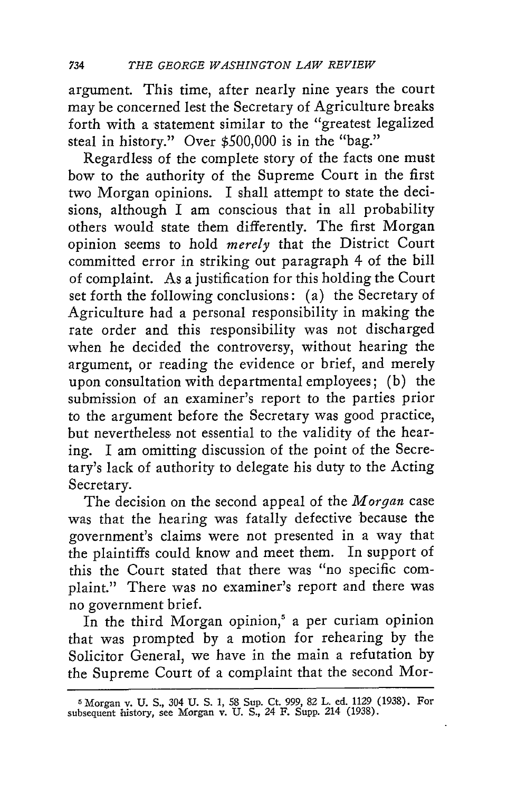argument. This time, after nearly nine years the court may be concerned lest the Secretary of Agriculture breaks forth with a statement similar to the "greatest legalized steal in history." Over \$500,000 is in the "bag."

Regardless of the complete story of the facts one must bow to the authority of the Supreme Court in the first two Morgan opinions. I shall attempt to state the decisions, although I am conscious that in all probability others would state them differently. The first Morgan opinion seems to hold *merely* that the District Court committed error in striking out paragraph 4 of the bill of complaint. As a justification for this holding the Court set forth the following conclusions: (a) the Secretary of Agriculture had a personal responsibility in making the rate order and this responsibility was not discharged when he decided the controversy, without hearing the argument, or reading the evidence or brief, and merely upon consultation with departmental employees; (b) the submission of an examiner's report to the parties prior to the argument before the Secretary was good practice, but nevertheless, not essential to the validity of the hearing. I am omitting discussion of the point of the Secretary's lack of authority to delegate his duty to the Acting Secretary.

The decision on the second appeal of the *Morgan* case was that the hearing was fatally defective because the government's claims were not presented in a way that the plaintiffs could know and meet them. In support of this the Court stated that there was "no specific complaint." There was no examiner's report and there was no government brief.

In the third Morgan opinion,<sup>5</sup> a per curiam opinion that was prompted by a motion for rehearing by the Solicitor General, we have in the main a refutation by the Supreme Court of a complaint that the second Mor-

**<sup>5</sup>** Morgan v. **U. S.,** 304 **U.** S. 1, 58 Sup. Ct. 999, 82 L. **ed. 1129 (1938).** For subsequent istory, see Morgan v. U. S., 24 F. Supp. 214 (1938).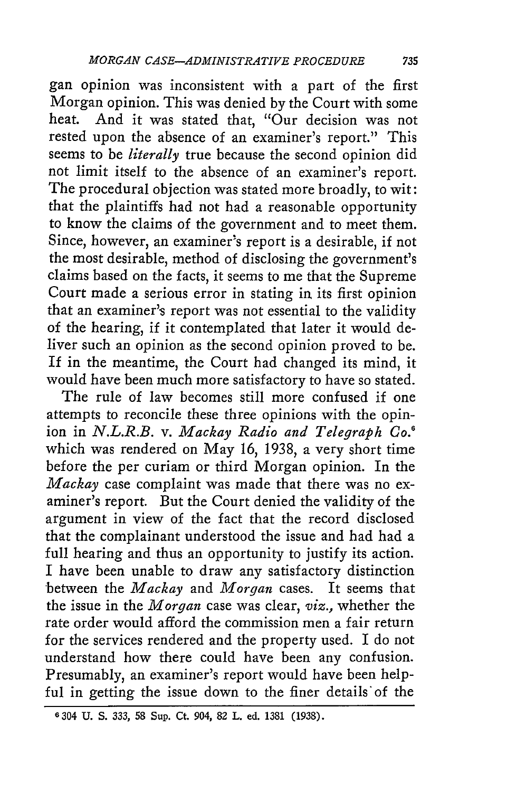gan opinion was inconsistent with a part of the first Morgan opinion. This was denied by the Court with some heat. And it was stated that, "Our decision was not rested upon the absence of an examiner's report." This seems to be *literally* true because the second opinion did not limit itself to the absence of an examiner's report. The procedural objection was stated more broadly, to wit: that the plaintiffs had not had a reasonable opportunity to know the claims of the government and to meet them. Since, however, an examiner's report is a desirable, if not the most desirable, method of disclosing the government's claims based on the facts, it seems to me that the Supreme Court made a serious error in stating *in.* its first opinion that an examiner's report was not essential to the validity of the hearing, if it contemplated that later it would deliver such an opinion as the second opinion proved to be. If in the meantime, the Court had changed its mind, it would have been much more satisfactory to have so stated.

The rule of law becomes still more confused if one attempts to reconcile these three opinions with the opinion in *N.L.R.B. v. Mackay Radio and Telegraph Co.6* which was rendered on May 16, 1938, a very short time before the per curiam or third Morgan opinion. In the *Mackay* case complaint was made that there was no examiner's report. But the Court denied the validity of the argument in view of the fact that the record disclosed that the complainant understood the issue and had had a full hearing and thus an opportunity to justify its action. I have been unable to draw any satisfactory distinction between the *Mackay* and *Morgan* cases. It seems that the issue in the *Morgan* case was clear, *viz.,* whether the rate order would afford the commission men a fair return for the services rendered and the property used. I do not understand how there could have been any confusion. Presumably, an examiner's report would have been helpful in getting the issue down to the finer details of the

**<sup>6</sup>** 304 U. S. *333,* 58 Sup. Ct. 904, 82 L. ed. 1381 (1938).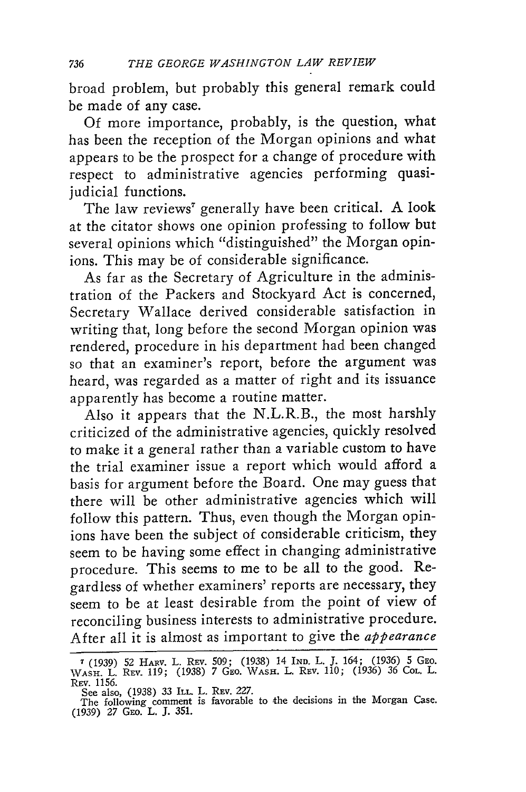broad problem, but probably this general remark could be made of any case.

Of more importance, probably, is the question, what has been the reception of the Morgan opinions and what appears to be the prospect for a change of procedure with respect to administrative agencies performing quasijudicial functions.

The law reviews' generally have been critical. A look at the citator shows one opinion professing to follow but several opinions which "distinguished" the Morgan opinions. This may be of considerable significance.

As far as the Secretary of Agriculture in the administration of the Packers and Stockyard Act is concerned, Secretary Wallace derived considerable satisfaction in writing that, long before the second Morgan opinion was rendered, procedure in his department had been changed so that an examiner's report, before the argument was heard, was regarded as a matter of right and its issuance apparently has become a routine matter.

Also it appears that the N.L.R.B., the most harshly criticized of the administrative agencies, quickly resolved to make it a general rather than a variable custom to have the trial examiner issue a report which would afford a basis for argument before the Board. One may guess that there will be other administrative agencies which will follow this pattern. Thus, even though the Morgan opinions have been the subject of considerable criticism, they seem to be having some effect in changing administrative procedure. This seems to me to be all to the good. Regardless of whether examiners' reports are necessary, they seem to be at least desirable from the point of view of reconciling business interests to administrative procedure. After all it is almost as important to give the *appearance*

**<sup>7 (1939) 52</sup>** HARV. L. REV. **509; (1938)** 14 IND. L. **J.** 164; **(1936) 5 GEO.** WASH. L. REv. **119; (1938)** *7* GEo. WASH. L. REV. **110; (1936) 36** COL. L. **REv. 1156.**

See also, (1938) 33 ILL L. REV. 227.<br>
The following comment is favorable to the decisions in the Morgan Case.<br>
(1939) 27 GEo. L. J. 351.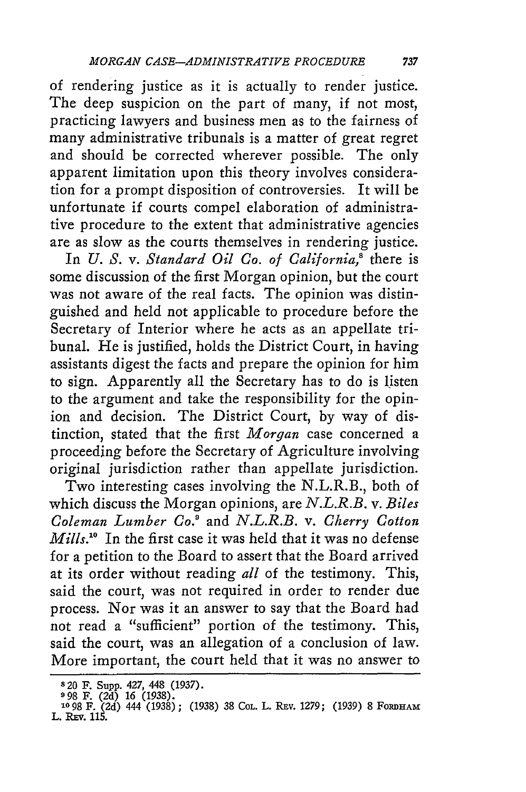of rendering justice as it is actually to render justice. The deep suspicion on the part of many, if not most, practicing lawyers and business men as to the fairness of many administrative tribunals is a matter of great regret and should be corrected wherever possible. The only apparent limitation upon this theory involves consideration for a prompt disposition of controversies. It will be unfortunate if courts compel elaboration of administrative procedure to the extent that administrative agencies are as slow as the courts themselves in rendering justice.

In *U.* S. v. *Standard Oil Co. of California,'* there is some discussion of the first Morgan opinion, but the court was not aware of the real facts. The opinion was distinguished and held not applicable to procedure before the Secretary of Interior where he acts as an appellate tribunal. He is justified, holds the District Court, in having assistants digest the facts and prepare the opinion for him to sign. Apparently all the Secretary has to do is listen to the argument and take the responsibility for the opinion and decision. The District Court, by way of distinction, stated that the first *Morgan* case concerned a proceeding before the Secretary of Agriculture involving original jurisdiction rather than appellate jurisdiction.

Two interesting cases involving the N.L.R.B., both of which discuss the Morgan opinions, are *N.L.R.B. v. Biles Coleman Lumber Co!* and *N.L.R.B. v. Cherry Cotton Mills."0* In the first case it was held that it was no defense for a petition to the Board to assert that the Board arrived at its order without reading *all* of the testimony. This, said the court, was not required in order to render due process. Nor was it an answer to say that the Board had not read a "sufficient" portion of the testimony. This, said the court, was an allegation of a conclusion of law. More important, the court held that it was no answer to

**<sup>8</sup> 20** F. Supp. 427, 448 (1937). **998** F. (2d) 16 (1938).

<sup>° 50</sup> F. (2d) 10 (1530).<br>10 98 F. (2d) 444 (1938): (1938) 38 Col. L. Rev. 1279: (1939) 8 Fordham L. REv. 115.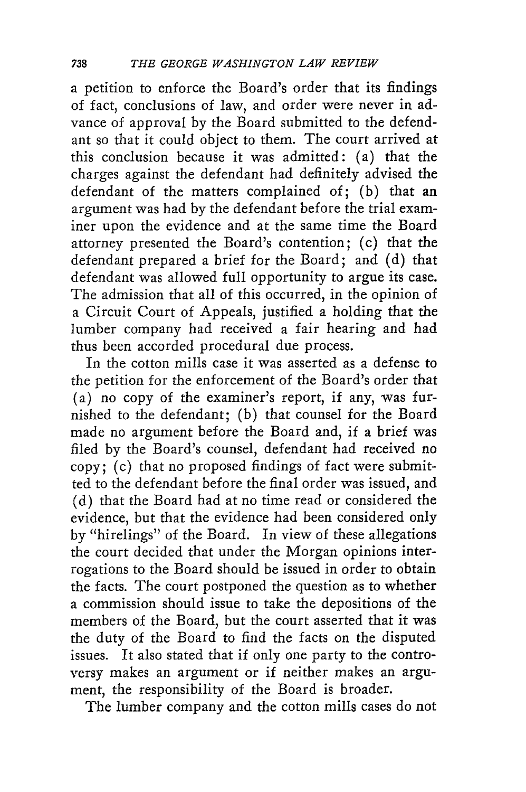a petition to enforce the Board's order that its findings of fact, conclusions of law, and order were never in advance of approval by the Board submitted to the defendant so that it could object to them. The court arrived at this conclusion because it was admitted: (a) that the charges against the defendant had definitely advised the defendant of the matters complained of; (b) that an argument was had by the defendant before the trial examiner upon the evidence and at the same time the Board attorney presented the Board's contention; (c) that the defendant prepared a brief for the Board; and (d) that defendant was allowed full opportunity to argue its case. The admission that all of this occurred, in the opinion of a Circuit Court of Appeals, justified a holding that the lumber company had received a fair hearing and had thus been accorded procedural due process.

In the cotton mills case it was asserted as a defense to the petition for the enforcement of the Board's order that (a) no copy of the examiner's report, if any, was furnished to the defendant; (b) that counsel for the Board made no argument before the Board and, if a brief was filed by the Board's counsel, defendant had received no copy; (c) that no proposed findings of fact were submitted to the defendant before the final order was issued, and (d) that the Board had at no time read or considered the evidence, but that the evidence had been considered only by "hirelings" of the Board. In view of these allegations the court decided that under the Morgan opinions interrogations to the Board should be issued in order to obtain the facts. The court postponed the question as to whether a commission should issue to take the depositions of the members of the Board, but the court asserted that it was the duty of the Board to find the facts on the disputed issues. It also stated that if only one party to the controversy makes an argument or if neither makes an argument, the responsibility of the Board is broader.

The lumber company and the cotton mills cases do not